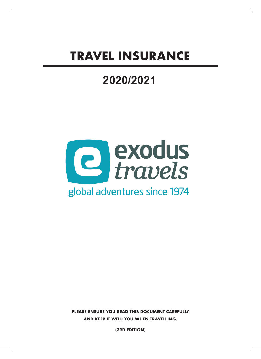# **TRAVEL INSURANCE**

# **2020/2021**



**PLEASE ENSURE YOU READ THIS DOCUMENT CAREFULLY AND KEEP IT WITH YOU WHEN TRAVELLING.**

**(3RD EDITION)**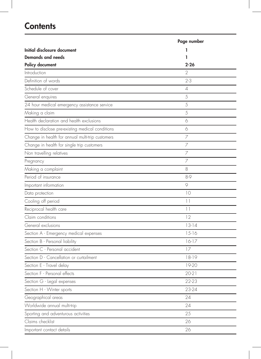# **Contents**

|                                                  | Page number |
|--------------------------------------------------|-------------|
| Initial disclosure document                      | ı           |
| Demands and needs                                | ı           |
| Policy document                                  | 2-26        |
| Introduction                                     | 2           |
| Definition of words                              | $2-3$       |
| Schedule of cover                                | 4           |
| General enquires                                 | 5           |
| 24 hour medical emergency assistance service     | 5           |
| Making a claim                                   | 5           |
| Health declaration and health exclusions         | 6           |
| How to disclose pre-existing medical conditions  | 6           |
| Change in health for annual multi-trip customers | 7           |
| Change in health for single trip customers       | 7           |
| Non travelling relatives                         | 7           |
| Pregnancy                                        | 7           |
| Making a complaint                               | 8           |
| Period of insurance                              | 8-9         |
| Important information                            | 9           |
| Data protection                                  | 10          |
| Cooling off period                               | $  \  $     |
| Reciprocal health care                           | $  \  $     |
| Claim conditions                                 | 12          |
| General exclusions                               | $13-14$     |
| Section A - Emergency medical expenses           | $15 - 16$   |
| Section B - Personal liability                   | $16-17$     |
| Section C - Personal accident                    | 17          |
| Section D - Cancellation or curtailment          | $18-19$     |
| Section E - Travel delay                         | 19-20       |
| Section F - Personal effects                     | 20-21       |
| Section G - Legal expenses                       | 22-23       |
| Section H - Winter sports                        | 23-24       |
| Geographical areas                               | 24          |
| Worldwide annual multi-trip                      | 24          |
| Sporting and adventurous activities              | 25          |
| Claims checklist                                 | 26          |
| Important contact details                        | 26          |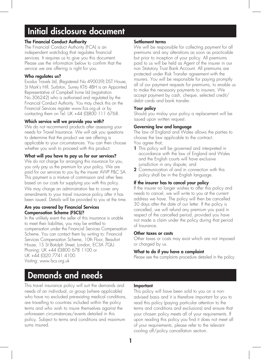# Initial disclosure document

#### The Financial Conduct Authority

The Financial Conduct Authority (FCA) is an independent watchdog that regulates financial services. It requires us to give you this document. Please use the information below to confirm that the service we are offering is right for you.

#### Who regulates us?

Exodus Travels Ltd, (Registered No 490039) DST House, St Mark's Hill, Surbiton, Surrey KT6 4BH is an Appointed Representative of Campbell Irvine Ltd (registration No.306242) who is authorised and regulated by the Financial Conduct Authority. You may check this on the Financial Services register www.fca.org.uk or by contacting them on Tel: UK +44 (0)800 111 6768.

#### Which service will we provide you with?

We do not recommend products after assessing your needs for Travel Insurance. We will ask you questions to determine that the product we are offering is applicable to your circumstances. You can then choose whether you wish to proceed with this product.

#### What will you have to pay us for our services?

We do not charge for arranging this insurance for you, you only pay us the premium for your policy. We are paid for our services to you by the insurer AWP P&C SA. This payment is a mixture of commission and other fees based on our costs for supplying you with this policy.

We may charge an administration fee to cover any amendments to your travel insurance policy after it has been issued. Details will be provided to you at the time.

#### Are you covered by Financial Services Compensation Scheme (FSCS)?

In the unlikely event the seller of this insurance is unable to meet their liabilities, you may be entitled to compensation under the Financial Services Compensation Scheme. You can contact them by writing to: Financial Services Compensation Scheme, 10th Floor, Beaufort House, 15 St Botolph Street, London, EC3A 7QU. Phoning: UK +44 (0)800 678 1100 or UK +44 (0)20 7741 4100. Visiting: www.fscs.org.uk

#### Settlement terms

We will be responsible for collecting payment for all premiums and any alterations as soon as practicable but prior to inception of your policy. All premiums paid to us will be held as Agent of the insurer in our non Statutory Trust Bank Account. All premiums are protected under Risk Transfer agreement with the insurers. You will be responsible for paying promptly all of our payment requests for premiums, to enable us to make the necessary payments to insurers. We accept payment by cash, cheque, selected credit/ debit cards and bank transfer.

#### Your policy

Should you mislay your policy a replacement will be issued upon written request.

#### Governing law and language

The law of England and Wales allows the parties to choose the law applicable to the contract. You agree that;

- 1 This policy will be governed and interpreted in accordance with the law of England and Wales and the English courts will have exclusive jurisdiction in any dispute; and
- 2 Communication of and in connection with this policy shall be in the English language.

#### If the insurer has to cancel your policy

If the insurer no longer wishes to offer this policy and needs to cancel, we will write to you at the current address we have. The policy will then be cancelled 30 days after the date of our letter. If the policy is cancelled, we will refund any premium you paid in respect of the cancelled period, provided you have not made a claim under the policy during that period of Insurance.

#### Other taxes or costs

Other taxes or costs may exist which are not imposed or charged by us.

#### What to do if you have a complaint

Please see the complaints procedure detailed in the policy.

### Demands and needs

This travel insurance policy will suit the demands and needs of an individual, or group (where applicable) who have no excluded pre-existing medical conditions, are travelling to countries included within the policy terms and who wish to insure themselves against the unforeseen circumstances/events detailed in this policy. Subject to terms and conditions and maximum sums insured.

#### Important

This policy will have been sold to you on a nonadvised basis and it is therefore important for you to read this policy (paying particular attention to the terms and conditions and exclusions) and ensure that your chosen policy meets all of your requirements. If upon reading this policy you find it does not meet all of your requirements, please refer to the relevant cooling off/policy cancellation section.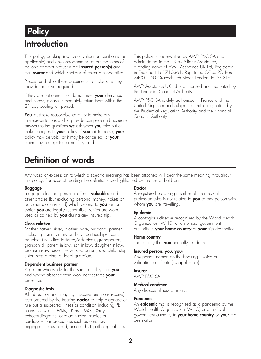## Introduction **Policy**

This policy, booking invoice or validation certificate (as applicable) and any endorsements set out the terms of the one contract between the *insured person(s)* and the **insurer** and which sections of cover are operative.

Please read all of these documents to make sure they provide the cover required.

If they are not correct, or do not meet your demands and needs, please immediately return them within the 21 day cooling off period.

You must take reasonable care not to make any misrepresentations and to provide complete and accurate answers to the questions we ask when you take out or make changes to your policy. If you fail to do so, your policy may be void, or it may be cancelled, or your claim may be rejected or not fully paid.

This policy is underwritten by AWP P&C SA and administered in the UK by Allianz Assistance, a trading name of AWP Assistance UK Ltd, Registered in England No 1710361, Registered Office PO Box 74005, 60 Gracechurch Street, London, EC3P 3DS.

AWP Assistance UK Ltd is authorised and regulated by the Financial Conduct Authority.

AWP P&C SA is duly authorised in France and the United Kingdom and subject to limited regulation by the Prudential Regulation Authority and the Financial Conduct Authority.

# Definition of words

Any word or expression to which a specific meaning has been attached will bear the same meaning throughout this policy. For ease of reading the definitions are highlighted by the use of bold print.

#### Baggage

Luggage, clothing, personal effects, **valuables** and other articles (but excluding personal money, tickets or documents of any kind) which belong to you (or for which you are legally responsible) which are worn, used or carried by **you** during any insured trip.

#### Close relative

Mother, father, sister, brother, wife, husband, partner (including common law and civil partnerships), son, daughter (including fostered/adopted), grandparent, grandchild, parent in-law, son in-law, daughter in-law, brother in-law, sister in-law, step parent, step child, step sister, step brother or legal guardian.

#### Dependent business partner

A person who works for the same employer as you and whose absence from work necessitates your presence.

#### Diagnostic tests

All laboratory and imaging (invasive and non-invasive) tests ordered by the treating **doctor** to help diagnose or rule out a suspected illness or condition including PET scans, CT scans, MRIs, EKGs, EMGs, X-rays, echocardiograms, cardiac nuclear studies or cardiovascular procedures such as coronary angiograms plus blood, urine or histopathological tests.

#### Doctor

A registered practising member of the medical profession who is not related to you or any person with whom **you** are travelling.

#### Epidemic

A contagious disease recognised by the World Health Organization (WHO) or an official government authority in your home country or your trip destination.

#### Home country

The country that **you** normally reside in.

#### Insured person, you, your

Any person named on the booking invoice or validation certificate (as applicable).

#### Insurer

AWP P&C SA.

#### Medical condition

Any disease, illness or injury.

#### Pandemic

An **epidemic** that is recognised as a pandemic by the World Health Organization (WHO) or an official government authority in your home country or your trip destination.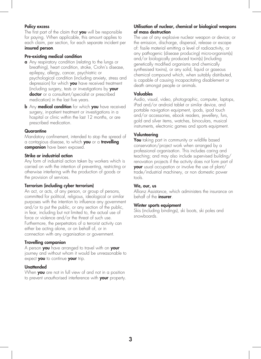#### Policy excess

The first part of the claim that you will be responsible for paying. When applicable, this amount applies to each claim, per section, for each separate incident per insured person.

#### Pre-existing medical condition

- a Any respiratory condition (relating to the lungs or breathing), heart condition, stroke, Crohn's disease, epilepsy, allergy, cancer, psychiatric or psychological condition (including anxiety, stress and depression) for which you have received treatment (including surgery, tests or investigations by your doctor or a consultant/specialist or prescribed medication) in the last five years.
- **b** Any **medical condition** for which you have received surgery, in-patient treatment or investigations in a hospital or clinic within the last 12 months, or are prescribed medication.

#### **Quarantine**

Mandatory confinement, intended to stop the spread of a contagious disease, to which you or a travelling companion have been exposed.

#### Strike or industrial action

Any form of industrial action taken by workers which is carried on with the intention of preventing, restricting or otherwise interfering with the production of goods or the provision of services.

#### Terrorism (including cyber terrorism)

An act, or acts, of any person, or group of persons, committed for political, religious, ideological or similar purposes with the intention to influence any government and/or to put the public, or any section of the public, in fear, including but not limited to, the actual use of force or violence and/or the threat of such use. Furthermore, the perpetrators of a terrorist activity can either be acting alone, or on behalf of, or in connection with any organisation or government.

#### Travelling companion

A person you have arranged to travel with on your journey and without whom it would be unreasonable to expect you to continue your trip.

#### Unattended

When **you** are not in full view of and not in a position to prevent unauthorised interference with your property.

#### Utilisation of nuclear, chemical or biological weapons of mass destruction

The use of any explosive nuclear weapon or device; or the emission, discharge, dispersal, release or escape of: fissile material emitting a level of radioactivity, or any pathogenic (disease producing) micro-organism(s) and/or biologically produced toxin(s) (including genetically modified organisms and chemically synthesised toxins), or any solid, liquid or gaseous chemical compound which, when suitably distributed, is capable of causing incapacitating disablement or death amongst people or animals.

#### Valuables

Audio, visual, video, photographic, computer, laptops, iPad and/or android tablet or similar device, and portable navigation equipment, ipods, ipod touch and/or accessories, ebook readers, jewellery, furs, gold and silver items, watches, binoculars, musical instruments, electronic games and sports equipment.

#### Volunteering

You taking part in community or wildlife based conservation/project work when arranged by a professional organisation. This includes caring and teaching; and may also include supervised building/ renovation projects if the activity does not form part of your usual occupation or involve the use of plant/ trade/industrial machinery, or non domestic power tools.

#### We, our, us

Allianz Assistance, which administers the insurance on behalf of the *insurer*.

#### Winter sports equipment

Skis (including bindings), ski boots, ski poles and snowboards.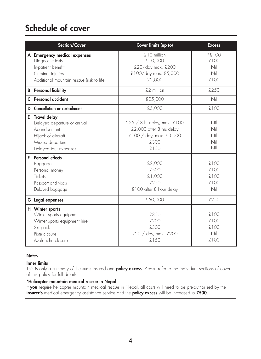# Schedule of cover

| Section/Cover                                                                                                                            | Cover limits (up to)                                                                                   | <b>Excess</b>                          |
|------------------------------------------------------------------------------------------------------------------------------------------|--------------------------------------------------------------------------------------------------------|----------------------------------------|
| A Emergency medical expenses<br>Diagnostic tests<br>In-patient benefit<br>Criminal injuries<br>Additional mountain rescue (risk to life) | £10 million<br>£10,000<br>£20/day max. £200<br>£100/day max. £5,000<br>£2,000                          | $001.3*$<br>£100<br>Nil<br>Nil<br>£100 |
| <b>B</b> Personal liability                                                                                                              | £2 million                                                                                             | £250                                   |
| <b>C</b> Personal accident                                                                                                               | £25,000                                                                                                | Nil                                    |
| <b>D</b> Cancellation or curtailment                                                                                                     | £5,000                                                                                                 | £100                                   |
| E Travel delay<br>Delayed departure or arrival<br>Abandonment<br>Hijack of aircraft<br>Missed departure<br>Delayed tour expenses         | $$25 / 8$ hr delay, max. $$100$<br>£2,000 after 8 hrs delay<br>£100 / day, max. £3,000<br>£300<br>£150 | Nil<br>Nil<br>Nil<br>Nil<br>Nil        |
| <b>F</b> Personal effects<br>Baggage<br>Personal money<br>Tickets<br>Passport and visas<br>Delayed baggage                               | £2.000<br>£500<br>COO, 13<br>£250<br>£100 after 8 hour delay                                           | £100<br>£100<br>£100<br>£100<br>Nil    |
| <b>G</b> Legal expenses                                                                                                                  | £50,000                                                                                                | £250                                   |
| H Winter sports<br>Winter sports equipment<br>Winter sports equipment hire<br>Ski pack<br>Piste closure<br>Avalanche closure             | £350<br>£200<br>£300<br>£20 / day, max. £200<br>£150                                                   | £100<br>£100<br>£100<br>Nil<br>£100    |

### **Notes**

### Inner limits

This is only a summary of the sums insured and **policy excess**. Please refer to the individual sections of cover of this policy for full details.

### \*Helicopter mountain medical rescue in Nepal

If you require helicopter mountain medical rescue in Nepal, all costs will need to be pre-authorised by the insurer's medical emergency assistance service and the policy excess will be increased to £500.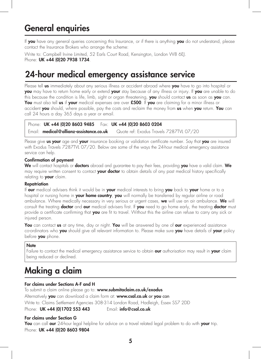# General enquiries

If you have any general queries concerning this Insurance, or if there is anything you do not understand, please contact the Insurance Brokers who arrange the scheme:

Write to: Campbell Irvine Limited, 52 Earls Court Road, Kensington, London W8 6EJ. Phone: UK +44 (0) 20 7938 1734.

# 24-hour medical emergency assistance service

Please tell us immediately about any serious illness or accident abroad where you have to go into hospital or you may have to return home early or extend your stay because of any illness or injury. If you are unable to do this because the condition is life, limb, sight or organ threatening, you should contact us as soon as you can. You must also tell us if your medical expenses are over £500. If you are claiming for a minor illness or accident you should, where possible, pay the costs and reclaim the money from us when you return. You can call 24 hours a day 365 days a year or email.

### Phone: UK +44 (0)20 8603 9485 Fax: UK +44 (0)20 8603 0204 Email: medical@allianz-assistance.co.uk Quote ref: Exodus Travels 7287TVL 07/20

Please give us your age and your insurance booking or validation certificate number. Say that you are insured with Exodus Travels 7287TVL 07/20. Below are some of the ways the 24-hour medical emergency assistance service can help.

### Confirmation of payment

We will contact hospitals or doctors abroad and guarantee to pay their fees, providing you have a valid claim. We may require written consent to contact **your doctor** to obtain details of any past medical history specifically relating to **your** claim.

#### Repatriation

If our medical advisers think it would be in your medical interests to bring you back to your home or to a hospital or nursing home in your home country, you will normally be transferred by regular airline or road ambulance. Where medically necessary in very serious or urgent cases, we will use an air ambulance. We will consult the treating **doctor** and **our** medical advisers first. If you need to go home early, the treating **doctor** must provide a certificate confirming that **you** are fit to travel. Without this the airline can refuse to carry any sick or injured person.

You can contact us at any time, day or night. You will be answered by one of our experienced assistance co-ordinators who you should give all relevant information to. Please make sure you have details of your policy before **you** phone.

#### **Note**

Failure to contact the medical emergency assistance service to obtain **our** authorisation may result in **your** claim being reduced or declined.

# Making a claim

### For claims under Sections A-F and H

To submit a claim online please go to: www.submitaclaim.co.uk/exodus Alternatively **you** can download a claim form at: **www.csal.co.uk or you can** Write to: Claims Settlement Agencies 308-314 London Road, Hadleigh, Essex SS7 2DD Phone: UK +44 (0)1702 553 443 Email: info@csal.co.uk

#### For claims under Section G

You can call our 24-hour legal helpline for advice on a travel related legal problem to do with your trip. Phone: UK +44 (0) 20 8603 9804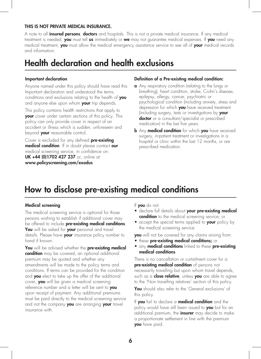#### THIS IS NOT PRIVATE MEDICAL INSURANCE.

A note to all *insured persons, doctors* and hospitals. This is not a private medical insurance. If any medical treatment is needed, you must tell us immediately or we may not guarantee medical expenses. If you need any medical treatment, you must allow the medical emergency assistance service to see all of your medical records and information.

### Health declaration and health exclusions

#### Important declaration

Anyone named under this policy should have read this Important declaration and understood the terms, conditions and exclusions relating to the health of you and anyone else upon whom your trip depends.

This policy contains health restrictions that apply to your cover under certain sections of this policy. This policy can only provide cover in respect of an accident or illness which is sudden, unforeseen and beyond **your** reasonable control.

Cover is excluded for any defined **pre-existing** medical condition. If in doubt please contact our medical screening service, in confidence on: UK +44 (0)1702 427 237 or, online at www.policyscreening.com/exodus

#### Definition of a Pre-existing medical condition:

- a Any respiratory condition (relating to the lungs or breathing), heart condition, stroke, Crohn's disease, epilepsy, allergy, cancer, psychiatric or psychological condition (including anxiety, stress and depression for which you have received treatment (including surgery, tests or investigations by your **doctor** or a consultant/specialist or prescribed medication) in the last five years.
- **b** Any **medical condition** for which you have received surgery, in-patient treatment or investigations in a hospital or clinic within the last 12 months, or are prescribed medication.

### How to disclose pre-existing medical conditions

#### Medical screening

The medical screening service is optional for those persons wishing to establish if additional cover may be offered to include **pre-existing medical conditions**. You will be asked for your personal and travel details. Please have your insurance policy number to hand if known.

You will be advised whether the pre-existing medical **condition** may be covered, an optional additional premium may be quoted and whether any amendments will be made to the policy terms and conditions. If terms can be provided for the condition and **you** elect to take up the offer of the additional cover, you will be given a medical screening reference number and a letter will be sent to you upon receipt of payment. Any additional premiums must be paid directly to the medical screening service and not the company you are arranging your travel insurance with.

- If you do not:
- declare full details about your pre-existing medical condition to the medical screening service; or
- accept the special terms applied to **your** policy by the medical screening service

you will not be covered for any claims arising from:

- **these pre-existing medical conditions;** or
- any **medical conditions** linked to these **pre-existing** medical conditions.

There is no cancellation or curtailment cover for a pre-existing medical condition of persons not necessarily travelling but upon whom travel depends, such as a **close relative**, unless you are able to agree to the 'Non travelling relatives' section of this policy.

You should also refer to the 'General exclusions' of this policy.

If you fail to declare a medical condition and the policy would have still been issued to you but for an additional premium, the *insurer* may decide to make a proportionate settlement in line with the premium you have paid.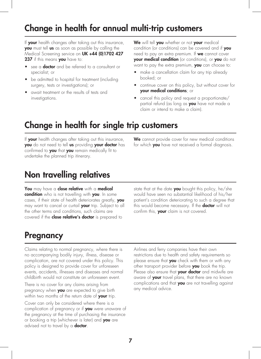# Change in health for annual multi-trip customers

If your health changes after taking out this insurance, you must tell us as soon as possible by calling the Medical Screening service on UK +44 (0)1702 427 237 if this means you have to:

- see a **doctor** and be referred to a consultant or specialist; or
- be admitted to hospital for treatment (including surgery, tests or investigations); or
- await treatment or the results of tests and investigations.

We will tell you whether or not your medical condition (or conditions) can be covered and if you need to pay an extra premium. If **we** cannot cover your medical condition (or conditions), or you do not want to pay the extra premium, you can choose to:

- make a cancellation claim for any trip already booked; or
- continue cover on this policy, but without cover for your medical conditions; or
- cancel this policy and request a proportionate/ partial refund (as long as you have not made a claim or intend to make a claim).

# Change in health for single trip customers

If your health changes after taking out this insurance, you do not need to tell us providing your doctor has confirmed to you that you remain medically fit to undertake the planned trip itinerary.

We cannot provide cover for new medical conditions for which you have not received a formal diagnosis.

## Non travelling relatives

You may have a close relative with a medical condition who is not travelling with you. In some cases, if their state of health deteriorates greatly, you may want to cancel or curtail **your** trip. Subject to all the other terms and conditions, such claims are covered if the **close relative's doctor** is prepared to

state that at the date you bought this policy, he/she would have seen no substantial likelihood of his/her patient's condition deteriorating to such a degree that this would become necessary. If the **doctor** will not confirm this, your claim is not covered.

### **Pregnancy**

Claims relating to normal pregnancy, where there is no accompanying bodily injury, illness, disease or complication, are not covered under this policy. This policy is designed to provide cover for unforeseen events, accidents, illnesses and diseases and normal childbirth would not constitute an unforeseen event.

There is no cover for any claims arising from pregnancy when **you** are expected to give birth within two months of the return date of your trip.

Cover can only be considered where there is a complication of pregnancy or if you were unaware of the pregnancy at the time of purchasing the insurance or booking a trip (whichever is later) and you are advised not to travel by a **doctor**.

Airlines and ferry companies have their own restrictions due to health and safety requirements so please ensure that you check with them or with any other transport provider before you book the trip. Please also ensure that your doctor and midwife are aware of **your** travel plans, that there are no known complications and that you are not travelling against any medical advice.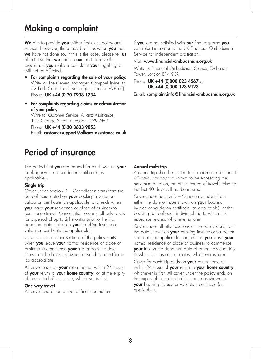# Making a complaint

We aim to provide you with a first class policy and service. However, there may be times when you feel we have not done so. If this is the case, please tell us about it so that **we** can do **our** best to solve the problem. If you make a complaint your legal rights will not be affected.

- For complaints regarding the sale of your policy: Write to: The General Manager, Campbell Irvine Ltd, 52 Earls Court Road, Kensington, London W8 6EJ. Phone: UK +44 (0)20 7938 1734
- For complaints regarding claims or administration of your policy:

Write to: Customer Service, Allianz Assistance, 102 George Street, Croydon, CR9 6HD

Phone: UK +44 (0) 20 8603 9853 Email: customersupport@allianz-assistance.co.uk

# Period of insurance

The period that **you** are insured for as shown on **your** booking invoice or validation certificate (as applicable).

#### Single trip

Cover under Section D – Cancellation starts from the date of issue stated on your booking invoice or validation certificate (as applicable) and ends when you leave your residence or place of business to commence travel. Cancellation cover shall only apply for a period of up to 24 months prior to the trip departure date stated on your booking invoice or validation certificate (as applicable).

Cover under all other sections of the policy starts when you leave your normal residence or place of business to commence your trip or from the date shown on the booking invoice or validation certificate (as appropriate).

All cover ends on **your** return home, within 24 hours of your return to your home country, or at the expiry of the period of insurance, whichever is first.

#### One way travel

All cover ceases on arrival at final destination.

If you are not satisfied with our final response you can refer the matter to the UK Financial Ombudsman Service for independent arbitration.

#### Visit: www.financial-ombudsman.org.uk

Write to: Financial Ombudsman Service, Exchange Tower, London E14 9SR

Phone: UK +44 (0)800 023 4567 or UK +44 (0)300 123 9123

Email: complaint.info@financial-ombudsman.org.uk

#### Annual multi-trip

Any one trip shall be limited to a maximum duration of 40 days. For any trip known to be exceeding the maximum duration, the entire period of travel including the first 40 days will not be insured.

Cover under Section D – Cancellation starts from either the date of issue shown on your booking invoice or validation certificate (as applicable), or the booking date of each individual trip to which this insurance relates, whichever is later.

Cover under all other sections of the policy starts from the date shown on your booking invoice or validation certificate (as applicable), or the time you leave your normal residence or place of business to commence your trip on the departure date of each individual trip to which this insurance relates, whichever is later.

Cover for each trip ends on **your** return home or within 24 hours of your return to your home country, whichever is first. All cover under the policy ends on the expiry of the period of insurance as shown on your booking invoice or validation certificate (as applicable).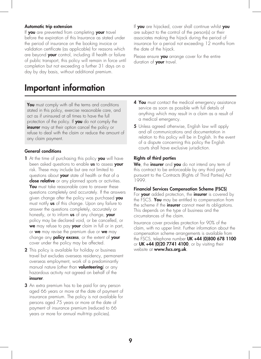#### Automatic trip extension

If you are prevented from completing your travel before the expiration of this Insurance as stated under the period of insurance on the booking invoice or validation certificate (as applicable) for reasons which are beyond **your** control, including ill health or failure of public transport, this policy will remain in force until completion but not exceeding a further 31 days on a day by day basis, without additional premium.

### Important information

You must comply with all the terms and conditions stated in this policy, exercise reasonable care, and act as if uninsured at all times to have the full protection of the policy. If **you** do not comply the insurer may at their option cancel the policy or refuse to deal with the claim or reduce the amount of any claim payment.

#### General conditions

- 1 At the time of purchasing this policy you will have been asked questions to enable us to assess your risk. These may include but are not limited to questions about **your** state of health or that of a close relative or any planned sports or activities. **You** must take reasonable care to answer these questions completely and accurately. If the answers given change after the policy was purchased you must notify **us** of this change. Upon any failure to answer the questions completely, accurately or honestly, or to inform us of any change, your policy may be declared void, or be cancelled, or we may refuse to pay your claim in full or in part, or **we** may revise the premium due or **we** may change any **policy excess**, or the extent of your cover under the policy may be affected.
- 2 This policy is available for holiday or business travel but excludes overseas residency, permanent overseas employment, work of a predominantly manual nature (other than **volunteering**) or any hazardous activity not agreed on behalf of the insurer.
- **3** An extra premium has to be paid for any person aged 66 years or more at the date of payment of insurance premium. The policy is not available for persons aged 75 years or more at the date of payment of insurance premium (reduced to 66 years or more for annual multi-trip policies).

If you are hijacked, cover shall continue whilst you are subject to the control of the person(s) or their associates making the hijack during the period of insurance for a period not exceeding 12 months from the date of the hijack.

Please ensure you arrange cover for the entire duration of your travel.

- 4 You must contact the medical emergency assistance service as soon as possible with full details of anything which may result in a claim as a result of a medical emergency.
- 5 Unless agreed otherwise, English law will apply and all communications and documentation in relation to this policy will be in English. In the event of a dispute concerning this policy the English courts shall have exclusive jurisdiction.

#### Rights of third parties

We, the insurer and you do not intend any term of this contract to be enforceable by any third party pursuant to the Contracts (Rights of Third Parties) Act 1999.

#### Financial Services Compensation Scheme (FSCS)

For your added protection, the insurer is covered by the FSCS. You may be entitled to compensation from the scheme if the *insurer* cannot meet its obligations. This depends on the type of business and the circumstances of the claim.

Insurance cover provides protection for 90% of the claim, with no upper limit. Further information about the compensation scheme arrangements is available from the FSCS, telephone number UK +44 (0)800 678 1100 or UK +44 (0)20 7741 4100, or by visiting their website at **www.fscs.org.uk**.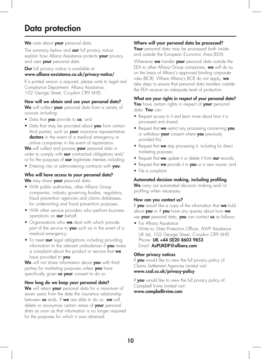## Data protection

#### We care about your personal data.

The summary below and our full privacy notice explain how Allianz Assistance protects your privacy and uses **your** personal data.

**Our** full privacy notice is available at www.allianz-assistance.co.uk/privacy-notice/

If a printed version is required, please write to Legal and Compliance Department, Allianz Assistance, 102 George Street, Croydon CR9 6HD.

#### How will we obtain and use your personal data?

We will collect your personal data from a variety of sources including:

- Data that you provide to us; and
- Data that may be provided about you from certain third parties, such as your insurance representative, doctors in the event of a medical emergency or airline companies in the event of repatriation.

We will collect and process your personal data in order to comply with **our** contractual obligations and/ or for the purposes of **our** legitimate interests including:

• Entering into or administering contracts with you;

#### Who will have access to your personal data? We may share your personal data:

- With public authorities, other Allianz Group companies, industry governing bodies, regulators, fraud prevention agencies and claims databases, for underwriting and fraud prevention purposes;
- With other service providers who perform business operations on **our** behalf;
- Organisations who **we** deal with which provide part of the service to you such as in the event of a medical emergency;
- To meet our legal obligations including providing information to the relevant ombudsman if you make a complaint about the product or service that we have provided to **you**.

We will not share information about you with third parties for marketing purposes unless you have specifically given **us your** consent to do so.

#### How long do we keep your personal data?

We will retain your personal data for a maximum of seven years from the date the insurance relationship between us ends. If we are able to do so, we will delete or anonymise certain areas of your personal data as soon as that information is no longer required for the purposes for which it was obtained.

#### Where will your personal data be processed?

Your personal data may be processed both inside and outside the European Economic Area (EEA).

Whenever we transfer your personal data outside the EEA to other Allianz Group companies, we will do so on the basis of Allianz's approved binding corporate rules (BCR). Where Allianz's BCR do not apply, we take steps to ensure that personal data transfers outside the EEA receive an adequate level of protection.

#### What are your rights in respect of your personal data?

You have certain rights in respect of your personal data. You can:

- Request access to it and learn more about how it is processed and shared;
- Request that we restrict any processing concerning you, or withdraw your consent where you previously provided this;
- Request that we stop processing it, including for direct marketing purposes;
- Request that we update it or delete it from our records;
- Request that we provide it to you or a new insurer; and
- File a complaint.

#### Automated decision making, including profiling

We carry out automated decision making and/or profiling when necessary.

#### How can you contact us?

If you would like a copy of the information that we hold about you or if you have any queries about how we use your personal data, you can contact us as follows:

• For Allianz Assistance Write to: Data Protection Officer, AWP Assistance UK Ltd, 102 George Street, Croydon CR9 6HD Phone: UK +44 (0) 20 8603 9853 Email: AzPUKDP@allianz.com

#### Other privacy notices

If you would like to view the full privacy policy of Claims Settlement Agencies Limited visit: www.csal.co.uk/privacy-policy

If you would like to view the full privacy policy of Campbell Irvine Limited visit:

www.campbellirvine.com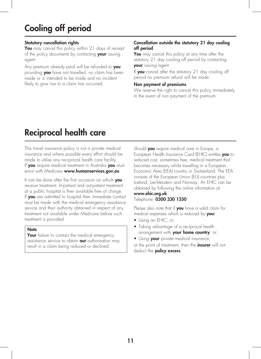# Cooling off period

#### Statutory cancellation rights

You may cancel this policy within 21 days of receipt of the policy documents by contacting your issuing agent.

Any premium already paid will be refunded to you providing **you** have not travelled, no claim has been made or is intended to be made and no incident likely to give rise to a claim has occurred.

#### Cancellation outside the statutory 21 day cooling off period

You may cancel this policy at any time after the statutory 21 day cooling off period by contacting your issuing agent.

If **you** cancel after the statutory  $21$  day cooling off period no premium refund will be made.

#### Non payment of premiums

We reserve the right to cancel this policy immediately in the event of non payment of the premium.

# Reciprocal health care

This travel insurance policy is not a private medical insurance and where possible every effort should be made to utilise any reciprocal health care facility. If you require medical treatment in Australia you must enrol with Medicare www.humanservices.gov.au

It can be done after the first occasion on which you receive treatment. In-patient and out-patient treatment at a public hospital is then available free of charge. If you are admitted to hospital then immediate contact must be made with the medical emergency assistance service and their authority obtained in respect of any treatment not available under Medicare before such treatment is provided.

#### **Note**

Your failure to contact the medical emergency assistance service to obtain **our** authorisation may result in a claim being reduced or declined.

Should you require medical care in Europe, a European Health Insurance Card (EHIC) entitles you to reduced cost, sometimes free, medical treatment that becomes necessary whilst travelling in a European Economic Area (EEA) country or Switzerland. The EEA consists of the European Union (EU) countries plus Iceland, Liechtenstein and Norway. An EHIC can be obtained by following the online information at www.ehic.org.uk

### Telephone: 0300 330 1350

Please also note that if you have a valid claim for medical expenses which is reduced by you:

- Using an EHIC; or;
- Taking advantage of a reciprocal health arrangement with your home country; or;
- Using your private medical insurance;
- at the point of treatment, then the *insurer* will not deduct the **policy excess**.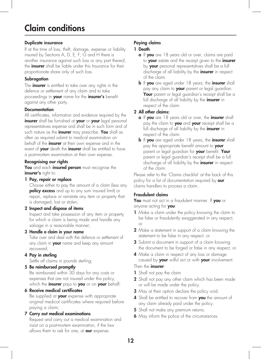## Claim conditions

### Duplicate insurance

If at the time of loss, theft, damage, expense or liability insured by Sections A, D, E, F, G and H there is another insurance against such loss or any part thereof, the **insurer** shall be liable under this Insurance for their proportionate share only of such loss.

### **Subrogation**

The **insurer** is entitled to take over any rights in the defence or settlement of any claim and to take proceedings in your name for the insurer's benefit against any other party.

#### **Documentation**

All certificates, information and evidence required by the insurer shall be furnished at your or your legal personal representatives expense and shall be in such form and of such nature as the *insurer* may prescribe. You shall as often as required submit to medical examination on behalf of the *insurer* at their own expense and in the event of **your** death the **insurer** shall be entitled to have a post-mortem examination at their own expense.

#### Recognising our rights

You and each insured person must recognise the insurer's right to:

#### 1 Pay, repair or replace

Choose either to pay the amount of a claim (less any **policy excess** and up to any sum insured limit) or repair, replace or reinstate any item or property that is damaged, lost or stolen;

#### 2 Inspect and dispose of items

Inspect and take possession of any item or property for which a claim is being made and handle any salvage in a reasonable manner;

### 3 Handle a claim in your name

Take over and deal with the defence or settlement of any claim in **your** name and keep any amount recovered;

### 4 Pay in sterling

Settle all claims in pounds sterling;

#### 5 Be reimbursed promptly

Be reimbursed within 30 days for any costs or expenses that are not insured under this policy, which the *insurer* pays to you or on your behalf;

### 6 Receive medical certificates

Be supplied at **your** expense with appropriate original medical certificates where required before paying a claim;

#### 7 Carry out medical examinations

Request and carry out a medical examination and insist on a post-mortem examination, if the law allows them to ask for one, at our expense.

### Paying claims

### 1 Death

- a If you are 18 years old or over, claims are paid to your estate and the receipt given to the insurer by your personal representatives shall be a full discharge of all liability by the **insurer** in respect of the claim.
- **b** If you are aged under 18 years, the insurer shall pay any claim to your parent or legal guardian. Your parent or legal quardian's receipt shall be a full discharge of all liability by the *insurer* in respect of the claim.

### 2 All other claims:

- a If you are 18 years old or over, the insurer shall pay the claim to you and your receipt shall be a full discharge of all liability by the *insurer* in respect of the claim.
- **b** If you are aged under 18 years, the insurer shall pay the appropriate benefit amount to your parent or legal guardian for your benefit. Your parent or legal guardian's receipt shall be a full discharge of all liability by the *insurer* in respect of the claim.

Please refer to the 'Claims checklist' at the back of this policy for a list of documentation required by our claims handlers to process a claim.

### Fraudulent claims

You must not act in a fraudulent manner. If you or anyone acting for you:

- 1 Make a claim under the policy knowing the claim to be false or fraudulently exaggerated in any respect; or
- 2 Make a statement in support of a claim knowing the statement to be false in any respect; or
- 3 Submit a document in support of a claim knowing the document to be forged or false in any respect; or
- 4 Make a claim in respect of any loss or damage caused by your wilful act or with your involvement. Then the *insurer*:
- 1 Shall not pay the claim
- 2 Shall not pay any other claim which has been made or will be made under the policy.
- **3** May at their option declare the policy void.
- 4 Shall be entitled to recover from you the amount of any claim already paid under the policy.
- 5 Shall not make any premium returns.
- **6** May inform the police of the circumstances.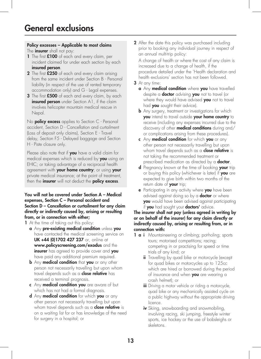#### Policy excesses – Applicable to most claims The *insurer* shall not pay:

- 1 The first £100 of each and every claim, per incident claimed for under each section by each insured person.
- 2 The first £250 of each and every claim arising from the same incident under Section B - Personal liability (in respect of the use of rented temporary accommodation only) and G - Legal expenses.
- 3 The first £500 of each and every claim, by each insured person under Section A1, if the claim involves helicopter mountain medical rescue in Nepal.

No **policy excess** applies to Section  $C$  - Personal accident, Section D - Cancellation and curtailment (Loss of deposit only claims), Section E - Travel delay, Section F5 - Delayed baggage and Section H - Piste closure only.

Please also note that if you have a valid claim for medical expenses which is reduced by you·using an EHIC; or taking advantage of a reciprocal health agreement with your home country; or using your private medical insurance; at the point of treatment, then the *insurer* will not deduct the **policy excess**.

#### You will not be covered under Section A – Medical expenses, Section C – Personal accident and Section D – Cancellation or curtailment for any claim directly or indirectly caused by, arising or resulting from, or in connection with either;

1 At the time of taking out this policy:

- a Any pre-existing medical condition unless you have contacted the medical screening service on UK +44 (0)1702 427 237 or, online at www.policyscreening.com/exodus and the insurer has agreed to provide cover and you have paid any additional premium required.
- **b** Any **medical condition** that you or any other person not necessarily travelling but upon whom travel depends such as a **close relative** has received a terminal prognosis.
- c Any medical condition you are aware of but which has not had a formal diagnosis.
- d Any medical condition for which you or any other person not necessarily travelling but upon whom travel depends such as a **close relative** is on a waiting list for or has knowledge of the need for surgery in a hospital; or

2 After the date this policy was purchased including prior to booking any individual journey in respect of an annual multi-trip policy:

A change of health or where the cost of any claim is increased due to a change of health, if the procedure detailed under the 'Health declaration and health exclusions' section has not been followed.

- 3 At any time:
	- a Any medical condition where you have travelled despite a **doctor** advising **you** not to travel (or where they would have advised you not to travel had **you** sought their advice).
	- **b** Any surgery, treatment or investigations for which you intend to travel outside your home country to receive (including any expenses incurred due to the discovery of other **medical conditions** during and/ or complications arising from these procedures).
	- c Any medical condition for which you or any other person not necessarily travelling but upon whom travel depends such as a **close relative** is not taking the recommended treatment or prescribed medication as directed by a **doctor**.
	- d Pregnancy known at the time of booking your trip or buying this policy (whichever is later) if you are expected to give birth within two months of the return date of your trip;
	- **e** Participating in any activity where you have been advised against doing so by a **doctor** or where you would have been advised against participating if you had sought your doctors' advice.

#### The insurer shall not pay (unless agreed in writing by or on behalf of the insurer) for any claim directly or indirectly caused by, arising or resulting from, or in connection with:

- 1 **a i** Mountaineering or climbing; pot-holing; sports tours; motorised competitions; racing; competing in or practising for speed or time trials of any kind; or
	- **ii** Travelling by quad bike or motorcycle (except for quad bikes or motorcycles up to 125cc which are hired or borrowed during the period of insurance and when you are wearing a crash helmet); or
	- iii Driving a motor vehicle or riding a motorcycle, quad bike or any mechanically assisted cycle on a public highway without the appropriate driving licence.
	- iv Skiing, snowboarding and snowmobiling, involving racing, ski jumping, freestyle winter sports, ice hockey or the use of bobsleighs or skeletons.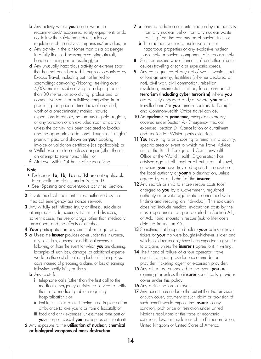- **b** Any activity where you do not wear the recommended/recognised safety equipment, or do not follow the safety procedures, rules or regulations of the activity's organisers/providers; or
- c Any activity in the air (other than as a passenger in a fully licensed passenger-carrying-aircraft, bungee jumping or parasailing); or
- d Any unusually hazardous activity or extreme sport that has not been booked through or organised by Exodus Travel, including but not limited to scrambling; canyoning/kloofing; trekking over 4,000 metres; scuba diving to a depth greater than 30 metres, or solo diving; professional or competitive sports or activities; competing in or practicing for speed or time trials of any kind; work of a predominantly manual nature; expeditions to remote, hazardous or polar regions; or any variation of an excluded sport or activity unless the activity has been declared to Exodus and the appropriate additional 'Tough' or 'Tough+' premium paid and shown on your booking invoice or validation certificate (as applicable); or
- e Wilful exposure to needless danger (other than in an attempt to save human life); or
- f Air travel within 24 hours of scuba diving.

#### **Note**

- Exclusions 1a, 1b, 1c and 1d are not applicable to cancellation claims under Section D.
- See 'Sporting and adventurous activities' section.
- 2 Private medical treatment unless authorised by the medical emergency assistance service.
- 3 Any wilfully self inflicted injury or illness, suicide or attempted suicide, sexually transmitted diseases, solvent abuse, the use of drugs (other than medically prescribed) and the effects of alcohol.
- **4 Your** participation in any criminal or illegal acts.
- 5 **a** Unless the *insurer* provides cover under this insurance, any other loss, damage or additional expenses following on from the event for which you are claiming. Examples of such loss, damage, or additional expense would be the cost of replacing locks after losing keys, costs incurred of preparing a claim, or loss of earnings following bodily injury or illness.
	- **b** Any costs for;
		- i telephone calls (other than the first call to the medical emergency assistance service to notify them of a medical problem requiring hospitalisation); or
		- ii taxi fares (unless a taxi is being used in place of an ambulance to take you to or from a hospital); or
		- iii food and drink expenses (unless these form part of your hospital costs if you are kept as an in-patient).
- 6 Any exposure to the utilisation of nuclear, chemical or biological weapons of mass destruction.
- **7 a** lonising radiation or contamination by radioactivity from any nuclear fuel or from any nuclear waste resulting from the combustion of nuclear fuel; or
	- **b** The radioactive, toxic, explosive or other hazardous properties of any explosive nuclear assembly or nuclear component of such assembly.
- 8 Sonic or pressure waves from aircraft and other airborne devices travelling at sonic or supersonic speeds.
- 9 Any consequence of any act of war, invasion, act of foreign enemy, hostilities (whether declared or not), civil war, civil commotion, rebellion, revolution, insurrection, military force, any act of terrorism (including cyber terrorism) where you are actively engaged and/or where you have travelled and/or  $you$  remain contrary to Foreign and Commonwealth Office travel advice.
- **10** An **epidemic** or **pandemic**, except as expressly covered under Section A - Emergency medical expenses, Section D - Cancellation or curtailment and Section H - Winter sports extension.
- 11 You travelling to or choosing to remain in a country, specific area or event to which the Travel Advice unit of the British Foreign and Commonwealth Office or the World Health Organisation has advised against all travel or all but essential travel, or where you have travelled against the advice of the local authority at your trip destination, unless agreed by or on behalf of the insurer.
- 12 Any search or ship to shore rescue costs (cost charged to you by a Government, regulated authority or private organisation concerned with finding and rescuing an individual). This exclusion does not include medical evacuation costs by the most appropriate transport detailed in Section A1, or Additional mountain rescue (risk to life) costs detailed in Section A5.
- 13 Something that happened before your policy or travel tickets for **your** trip were bought (whichever is later) and which could reasonably have been expected to give rise to a claim, unless the *insurer's* agree to it in writing.
- 14 The financial failure of a tour operator, travel agent, transport provider, accommodation provider, ticketing agent or excursion provider.
- 15 Any other loss connected to the event you are claiming for unless the **insurer** specifically provides cover under this policy.
- 16 Any disinclination to travel.
- 17 Any benefit hereunder to the extent that the provision of such cover, payment of such claim or provision of such benefit would expose the **insurer** to any sanction, prohibition or restriction under United Nations resolutions or the trade or economic sanctions, laws or regulations of the European Union, United Kingdom or United States of America.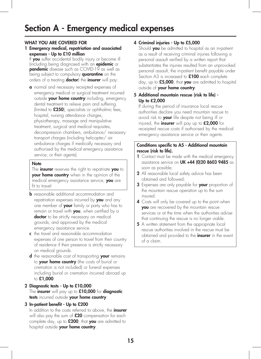## Section A - Emergency medical expenses

#### WHAT YOU ARE COVERED FOR

#### 1 Emergency medical, repatriation and associated expenses - Up to £10 million

If **you** suffer accidental bodily injury or become ill (including being diagnosed with an epidemic or **pandemic** disease such as COVID-19 as well as being subject to compulsory **quarantine** on the orders of a treating **doctor**) the **insurer** will pay:

a normal and necessary receipted expenses of emergency medical or surgical treatment incurred outside your home country including, emergency dental treatment to relieve pain and suffering (limited to £250), specialists or ophthalmic fees, hospital, nursing attendance charges, physiotherapy, massage and manipulative treatment, surgical and medical requisites, decompression chambers, ambulance/ necessary transport charges (including helicopter/ air ambulance charges if medically necessary and authorised by the medical emergency assistance service; or their agents).

#### **Note**

The **insurer** reserves the right to repatriate you to your home country when in the opinion of the medical emergency assistance service, you are fit to travel

- **b** reasonable additional accommodation and repatriation expenses incurred by you and any one member of **your** family or party who has to remain or travel with **you**, when certified by a doctor to be strictly necessary on medical grounds, and approved by the medical emergency assistance service.
- c the travel and reasonable accommodation expenses of one person to travel from their country of residence if their presence is strictly necessary on medical grounds.
- d the reasonable cost of transporting your remains to your home country (the costs of burial or cremation is not included) or funeral expenses including burial or cremation incurred abroad up to £1,000.

#### 2 Diagnostic tests - Up to £10,000 The insurer will pay up to  $£10,000$  for diagnostic tests incurred outside your home country.

#### 3 In-patient benefit - Up to £200

In addition to the costs referred to above, the *insurer* will also pay the sum of **£20** compensation for each complete day, up to £200, that you are admitted to hospital outside your home country.

### 4 Criminal injuries - Up to £5,000

Should **you** be admitted to hospital as an in-patient as a result of receiving criminal injuries following a personal assault verified by a written report that substantiates the injuries resulted from an unprovoked personal assault, the in-patient benefit payable under Section A3 is increased to  $£100$  each complete day, up to  $£5,000$ , that you are admitted to hospital outside of your home country.

#### 5 Additional mountain rescue (risk to life) - Up to **£**2,000

If during the period of insurance local rescue authorities declare you need mountain rescue to avoid risk to your life despite not being ill or injured, the insurer will pay up to **£**2,000 for receipted rescue costs if authorised by the medical emergency assistance service or their agents.

#### Conditions specific to A5 - Additional mountain rescue (risk to life).

- 1 Contact must be made with the medical emergency assistance service on UK +44 (0)20 8603 9485 as soon as possible;
- 2 All reasonable local safety advice has been obtained and followed;
- 3 Expenses are only payable for your proportion of the mountain rescue operation up to the sum insured.
- 4 Costs will only be covered up to the point when you are recovered by the mountain rescue services or at the time when the authorities advise that continuing the rescue is no longer viable.
- 5 A written statement from the appropriate local rescue authorities involved in the rescue must be obtained and provided to the *insurer* in the event of a claim.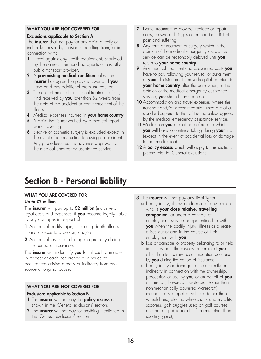#### WHAT YOU ARE NOT COVERED FOR

#### Exclusions applicable to Section A

The **insurer** shall not pay for any claim directly or indirectly caused by, arising or resulting from, or in connection with:

- 1 Travel against any health requirements stipulated by the carrier, their handling agents or any other public transport provider.
- 2 A pre-existing medical condition unless the insurer has agreed to provide cover and you have paid any additional premium required.
- **3** The cost of medical or surgical treatment of any kind received by  $you$  later than 52 weeks from the date of the accident or commencement of the illness.
- 4 Medical expenses incurred in your home country.
- 5 A claim that is not verified by a medical report whilst travelling.
- **6** Elective or cosmetic surgery is excluded except in the event of reconstruction following an accident. Any procedures require advance approval from the medical emergency assistance service.
- **7** Dental treatment to provide, replace or repair caps, crowns or bridges other than the relief of pain and suffering.
- 8 Any form of treatment or surgery which in the opinion of the medical emergency assistance service can be reasonably delayed until you return to your home country.
- 9 Any medical treatment and associated costs you have to pay following your refusal of curtailment, or your decision not to move hospital or return to your home country after the date when, in the opinion of the medical emergency assistance service, you should have done so.
- 10 Accommodation and travel expenses where the transport and/or accommodation used are of a standard superior to that of the trip unless agreed by the medical emergency assistance service.
- 11 Medication you are taking before and which you will have to continue taking during your trip (except in the event of accidental loss or damage to that medication).
- 12 A **policy excess** which will apply to this section, please refer to 'General exclusions'.

## Section B - Personal liability

#### WHAT YOU ARE COVERED FOR

#### Up to £2 million

The insurer will pay up to  $£2$  million (inclusive of legal costs and expenses) if you become legally liable to pay damages in respect of:

- 1 Accidental bodily injury, including death, illness and disease to a person; and/or
- 2 Accidental loss of or damage to property during the period of insurance.

The **insurer** will indemnify you for all such damages in respect of each occurrence or a series of occurrences arising directly or indirectly from one source or original cause.

#### WHAT YOU ARE NOT COVERED FOR

#### Exclusions applicable to Section B

- 1 The insurer will not pay the policy excess as shown in the 'General exclusions' section.
- **2** The **insurer** will not pay for anything mentioned in the 'General exclusions' section.
- **3** The *insurer* will not pay any liability for: a bodily injury, illness or disease of any person
	- who is your close relative, travelling companion, or under a contract of employment, service or apprenticeship with **you** when the bodily injury, illness or disease arises out of and in the course of their employment with **you**;
	- **b** loss or damage to property belonging to or held in trust by or in the custody or control of  $you$ other than temporary accommodation occupied by **you** during the period of insurance;
	- c bodily injury or damage caused directly or indirectly in connection with the ownership, possession or use by you or on behalf of you of: aircraft, hovercraft, watercraft (other than non-mechanically powered watercraft), mechanically propelled vehicles (other than wheelchairs, electric wheelchairs and mobility scooters, golf buggies used on golf courses and not on public roads), firearms (other than sporting guns);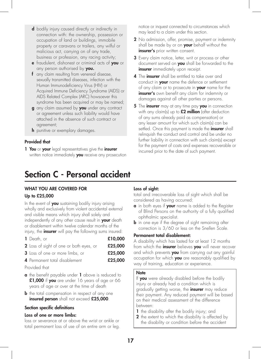- d bodily injury caused directly or indirectly in connection with: the ownership, possession or occupation of land or buildings, immobile property or caravans or trailers, any wilful or malicious act, carrying on of any trade, business or profession, any racing activity;
- e fraudulent, dishonest or criminal acts of you or any person authorised by you.
- f any claim resulting from venereal disease, sexually transmitted diseases, infection with the Human Immunodeficiency Virus (HIV) or Acquired Immune Deficiency Syndrome (AIDS) or AIDS Related Complex (ARC) howsoever this syndrome has been acquired or may be named;
- g any claim assumed by you under any contract or agreement unless such liability would have attached in the absence of such contract or agreement;
- **h** punitive or exemplary damages.

#### Provided that

1 You or your legal representatives give the insurer written notice immediately you receive any prosecution

# Section C - Personal accident

### WHAT YOU ARE COVERED FOR

#### Up to £25,000

In the event of you sustaining bodily injury arising wholly and exclusively from violent accidental external and visible means which injury shall solely and independently of any other cause result in **your** death or disablement within twelve calendar months of the injury, the **insurer** will pay the following sums insured:

| 1 Death, or                             | £10,000 |
|-----------------------------------------|---------|
| 2 Loss of sight of one or both eyes, or | £25,000 |
| <b>3</b> Loss of one or more limbs, or  | £25,000 |
| 4 Permanent total disablement           | £25,000 |

Provided that

- **a** the benefit payable under **1** above is reduced to £1,000 if you are under 16 years of age or 66 years of age or over at the time of death
- **b** the total compensation in respect of any one insured person shall not exceed £25,000.

#### Section specific definitions

#### Loss of one or more limbs:

loss or severance at or above the wrist or ankle or total permanent loss of use of an entire arm or leg. notice or inquest connected to circumstances which may lead to a claim under this section.

- 2 No admission, offer, promise, payment or indemnity shall be made by or on your behalf without the insurer's prior written consent.
- **3** Every claim notice, letter, writ or process or other document served on you shall be forwarded to the insurer immediately upon receipt.
- 4 The insurer shall be entitled to take over and conduct in **your** name the defence or settlement of any claim or to prosecute in **your** name for the insurer's own benefit any claim for indemnity or damages against all other parties or persons.
- 5 The insurer may at any time pay you in connection with any claim(s) up to  $£2$  million (after deduction of any sums already paid as compensation) or any lesser amount for which such claim(s) can be settled. Once this payment is made the *insurer* shall relinquish the conduct and control and be under no further liability in connection with such claim(s) except for the payment of costs and expenses recoverable or incurred prior to the date of such payment.

### Loss of sight:

total and irrecoverable loss of sight which shall be considered as having occurred:

- a in both eyes if your name is added to the Register of Blind Persons on the authority of a fully qualified ophthalmic specialist.
- **b** in one eye if the degree of sight remaining after correction is 3/60 or less on the Snellen Scale.

#### Permanent total disablement:

A disability which has lasted for at least 12 months from which the *insurer* believes you will never recover and which prevents you from carrying out any gainful occupation for which **you** are reasonably qualified by way of training, education or experience.

#### **Note**

If you were already disabled before the bodily injury or already had a condition which is gradually getting worse, the **insurer** may reduce their payment. Any reduced payment will be based on their medical assessment of the difference between:

- 1 the disability after the bodily injury; and
- **2** the extent to which the disability is affected by the disability or condition before the accident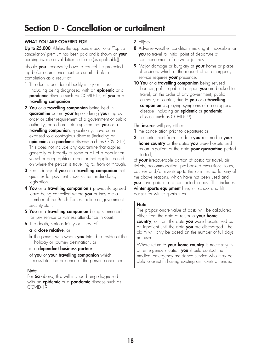## Section D - Cancellation or curtailment

#### WHAT YOU ARE COVERED FOR

Up to £5,000 (Unless the appropriate additional 'Top up cancellation' premium has been paid and is shown on your booking invoice or validation certificate (as applicable)).

Should you necessarily have to cancel the projected trip before commencement or curtail it before completion as a result of:

- 1 The death, accidental bodily injury or illness (including being diagnosed with an **epidemic** or a **pandemic** disease such as COVID-19) of you or a travelling companion.
- 2 You or a travelling companion being held in quarantine before your trip or during your trip by order or other requirement of a government or public authority, based on their suspicion that you or a travelling companion, specifically, have been exposed to a contagious disease (including an epidemic or a pandemic disease such as COVID-19). This does not include any quarantine that applies generally or broadly to some or all of a population, vessel or geographical area, or that applies based on where the person is travelling to, from or through.
- 3 Redundancy of you or a travelling companion that qualifies for payment under current redundancy legislation.
- **4 You** or a **travelling companion's** previously agreed leave being cancelled where you or they are a member of the British Forces, police or government security staff.
- 5 You or a travelling companion being summoned for jury service or witness attendance in court.
- **6** The death, serious injury or illness of,
	- a a close relative, or
	- **b** the person with whom **you** intend to reside at the holiday or journey destination, or
	- c a dependent business partner;

of you or your travelling companion which necessitates the presence of the person concerned.

#### Note

For 6a above, this will include being diagnosed with an **epidemic** or a **pandemic** disease such as COVID-19.

- 7 Hijack.
- 8 Adverse weather conditions making it impossible for you to travel to initial point of departure at commencement of outward journey.
- **9** Major damage or burglary at your home or place of business which at the request of an emergency service requires your presence.
- 10 You or a travelling companion being refused boarding of the public transport you are booked to travel, on the order of any government, public authority or carrier, due to you or a travelling companion displaying symptoms of a contagious disease (including an epidemic or pandemic disease, such as COVID-19).

The **insurer** will pay either:

1 the cancellation prior to departure; or

2 the curtailment from the date you returned to your **home country** or the dates you were hospitalised as an in-patient or the date your quarantine period started;

of your irrecoverable portion of costs; for travel, air tickets, accommodation, pre-booked excursions, tours, courses and/or events up to the sum insured for any of the above reasons, which have not been used and you have paid or are contracted to pay. This includes winter sports equipment hire, ski school and lift passes for winter sports trips.

#### **Note**

The proportionate value of costs will be calculated either from the date of return to your home

country, or from the date you were hospitalised as an inpatient until the date you are discharged. The claim will only be based on the number of full days not used.

Where return to your home country is necessary in an emergency situation you should contact the medical emergency assistance service who may be able to assist in having existing air tickets amended.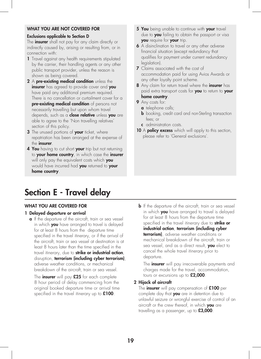#### WHAT YOU ARE NOT COVERED FOR

#### Exclusions applicable to Section D

The **insurer** shall not pay for any claim directly or indirectly caused by, arising or resulting from, or in connection with:

- 1 Travel against any health requirements stipulated by the carrier, their handling agents or any other public transport provider, unless the reason is shown as being covered.
- 2 A pre-existing medical condition unless the insurer has agreed to provide cover and you have paid any additional premium required. There is no cancellation or curtailment cover for a pre-existing medical condition of persons not necessarily travelling but upon whom travel depends, such as a **close relative** unless you are able to agree to the 'Non travelling relatives' section of this policy.
- 3 The unused portions of your ticket, where repatriation has been arranged at the expense of the **insurer**.
- 4 You having to cut short your trip but not returning to your home country, in which case the insurer will only pay the equivalent costs which you would have incurred had you returned to your home country.
- Section E Travel delay

#### WHAT YOU ARE COVERED FOR

#### 1 Delayed departure or arrival

**a** If the departure of the aircraft, train or sea vessel in which **you** have arranged to travel is delayed for at least 8 hours from the departure time specified in the travel itinerary, or if the arrival of the aircraft, train or sea vessel at destination is at least 8 hours later than the time specified in the travel itinerary, due to strike or industrial action, disruption, terrorism (including cyber terrorism), adverse weather conditions, or mechanical breakdown of the aircraft, train or sea vessel.

The *insurer* will pay £25 for each complete 8 hour period of delay commencing from the original booked departure time or arrival time specified in the travel itinerary up to £100.

- 5 You being unable to continue with your travel due to **you** failing to obtain the passport or visa you require for your trip.
- 6 A disinclination to travel or any other adverse financial situation (except redundancy that qualifies for payment under current redundancy legislation).
- **7** Claims associated with the cost of accommodation paid for using Avios Awards or any other loyalty point scheme.
- 8 Any claim for return travel where the *insurer* has paid extra transport costs for you to return to your home country.

#### 9 Any costs for:

- **a** telephone calls;
- **b** booking, credit card and non-Sterling transaction fees; or
- c administration costs.
- 10 A policy excess which will apply to this section, please refer to 'General exclusions'.

**b** If the departure of the aircraft, train or sea vessel in which **you** have arranged to travel is delayed for at least 8 hours from the departure time specified in the travel itinerary due to strike or industrial action, terrorism (including cyber terrorism), adverse weather conditions or mechanical breakdown of the aircraft, train or sea vessel, and as a direct result, you elect to cancel the whole travel itinerary prior to departure.

The **insurer** will pay irrecoverable payments and charges made for the travel, accommodation, tours or excursions up to £2,000.

#### 2 Hijack of aircraft

The *insurer* will pay compensation of  $£100$  per complete day that you are in detention due to unlawful seizure or wrongful exercise of control of an aircraft or the crew thereof, in which you are travelling as a passenger, up to £3,000.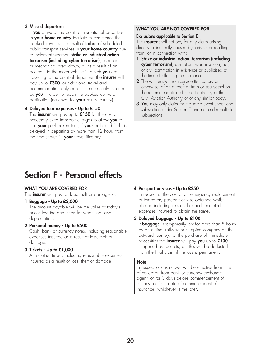#### 3 Missed departure

If you arrive at the point of international departure in your home country too late to commence the booked travel as the result of failure of scheduled public transport services in your home country due to inclement weather, strike or industrial action, terrorism (including cyber terrorism), disruption, or mechanical breakdown, or as a result of an accident to the motor vehicle in which **you** are travelling to the point of departure, the *insurer* will pay up to £300 for additional travel and accommodation only expenses necessarily incurred by you in order to reach the booked outward destination (no cover for your return journey).

#### 4 Delayed tour expenses - Up to £150

The *insurer* will pay up to £150 for the cost of necessary extra transport charges to allow you to join your pre-booked tour, if your outbound flight is delayed in departing by more than 12 hours from the time shown in your travel itinerary.

#### WHAT YOU ARE NOT COVERED FOR

#### Exclusions applicable to Section E

The **insurer** shall not pay for any claim arising directly or indirectly caused by, arising or resulting from, or in connection with:

- 1 Strike or industrial action, terrorism (including cyber terrorism), disruption, war, invasion, riot, or civil commotion in existence or publicised at the time of effecting the Insurance.
- 2 The withdrawal from service (temporary or otherwise) of an aircraft or train or sea vessel on the recommendation of a port authority or the Civil Aviation Authority or of any similar body.
- **3 You** may only claim for the same event under one sub-section under Section E and not under multiple sub-sections.

### Section F - Personal effects

#### WHAT YOU ARE COVERED FOR

The **insurer** will pay for loss, theft or damage to:

#### 1 Baggage - Up to £2,000

The amount payable will be the value at today's prices less the deduction for wear, tear and depreciation.

#### 2 Personal money - Up to £500

Cash, bank or currency notes, including reasonable expenses incurred as a result of loss, theft or damage.

#### 3 Tickets - Up to £1,000

Air or other tickets including reasonable expenses incurred as a result of loss, theft or damage.

#### 4 Passport or visas - Up to £250

In respect of the cost of an emergency replacement or temporary passport or visa obtained whilst abroad including reasonable and receipted expenses incurred to obtain the same.

#### 5 Delayed baggage - Up to £100

If **baggage** is temporarily lost for more than 8 hours by an airline, railway or shipping company on the outward journey, for the purchase of immediate necessities the *insurer* will pay you up to £100 supported by receipts, but this will be deducted from the final claim if the loss is permanent.

#### **Note**

In respect of cash cover will be effective from time of collection from bank or currency exchange agent, or for 3 days before commencement of journey, or from date of commencement of this Insurance, whichever is the later.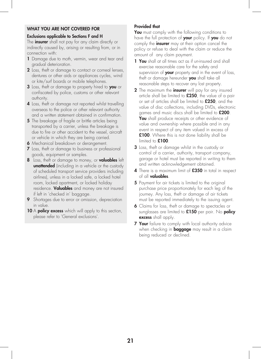#### WHAT YOU ARE NOT COVERED FOR

#### Exclusions applicable to Sections F and H

The **insurer** shall not pay for any claim directly or indirectly caused by, arising or resulting from, or in connection with:

- 1 Damage due to moth, vermin, wear and tear and gradual deterioration.
- 2 Loss, theft or damage to contact or corneal lenses, dentures or other aids or appliances cycles, wind or kite/surf boards or mobile telephones.
- 3 Loss, theft or damage to property hired to you or confiscated by police, customs or other relevant authority.
- 4 Loss, theft or damage not reported whilst travelling overseas to the police or other relevant authority and a written statement obtained in confirmation.
- **5** The breakage of fragile or brittle articles being transported by a carrier, unless the breakage is due to fire or other accident to the vessel, aircraft or vehicle in which they are being carried.
- **6** Mechanical breakdown or derangement.
- 7 Loss, theft or damage to business or professional goods, equipment or samples.
- 8 Loss, theft or damage to money, or **valuables** left **unattended** (including in a vehicle or the custody of scheduled transport service providers including airlines), unless in a locked safe, a locked hotel room, locked apartment, or locked holiday residence. Valuables and money are not insured if left in 'checked in' baggage.
- **9** Shortages due to error or omission, depreciation in value.
- 10 A policy excess which will apply to this section, please refer to 'General exclusions'.

#### Provided that

You must comply with the following conditions to have the full protection of your policy. If you do not comply the **insurer** may at their option cancel the policy or refuse to deal with the claim or reduce the amount of any claim payment.

- 1 You shall at all times act as if un-insured and shall exercise reasonable care for the safety and supervision of your property and in the event of loss, theft or damage hereunder you shall take all reasonable steps to recover any lost property.
- 2 The maximum the *insurer* will pay for any insured article shall be limited to **£250**, the value of a pair or set of articles shall be limited to £250, and the value of disc collections, including DVDs, electronic games and music discs shall be limited to £200. **You** shall produce receipts or other evidence of value and ownership where possible and in any event in respect of any item valued in excess of £100. Where this is not done liability shall be limited to £100.
- 3 Loss, theft or damage whilst in the custody or control of a carrier, authority, transport company, garage or hotel must be reported in writing to them and written acknowledgement obtained.
- 4 There is a maximum limit of £350 in total in respect of all valuables.
- 5 Payment for air tickets is limited to the original purchase price proportionately for each leg of the journey. Any loss, theft or damage of air tickets must be reported immediately to the issuing agent.
- 6 Claims for loss, theft or damage to spectacles or sunglasses are limited to £150 per pair. No **policy** excess shall apply.
- **7 Your** failure to comply with local authority advice when checking in **baggage** may result in a claim being reduced or declined.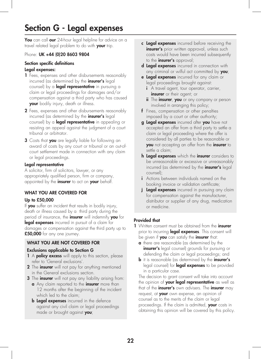# Section G - Legal expenses

You can call our 24-hour legal helpline for advice on a travel related legal problem to do with your trip.

#### Phone: UK +44 (0) 20 8603 9804

#### Section specific definitions Legal expenses:

- 1 Fees, expenses and other disbursements reasonably incurred (as determined by the **insurer's** legal counsel) by a *legal representative* in pursuing a claim or legal proceedings for damages and/or compensation against a third party who has caused your bodily injury, death or illness.
- 2 Fees, expenses and other disbursements reasonably incurred (as determined by the **insurer's** legal counsel) by a **legal representative** in appealing or resisting an appeal against the judgment of a court tribunal or arbitrator.
- **3** Costs that you are legally liable for following an award of costs by any court or tribunal or an out-ofcourt settlement made in connection with any claim or legal proceedings.

#### Legal representative

A solicitor, firm of solicitors, lawyer, or any appropriately qualified person, firm or company, appointed by the *insurer* to act on your behalf.

#### WHAT YOU ARE COVERED FOR

#### Up to £50,000

If you suffer an incident that results in bodily injury, death or illness caused by a third party during the period of insurance, the *insurer* will indemnify you for legal expenses incurred in pursuit of a claim for damages or compensation against the third party up to £50,000 for any one journey.

#### WHAT YOU ARE NOT COVERED FOR

#### Exclusions applicable to Section G

- 1 A **policy excess** will apply to this section, please refer to 'General exclusions'.
- 2 The insurer will not pay for anything mentioned in the General exclusions section.
- **3** The **insurer** will not pay any liability arising from:
	- a Any claim reported to the *insurer* more than 12 months after the beginning of the incident which led to the claim;
	- **b Legal expenses** incurred in the defence against any civil claim or legal proceedings made or brought against you;
- c Legal expenses incurred before receiving the insurer's prior written approval, unless such costs would have been incurred subsequently to the **insurer's** approval;
- d Legal expenses incurred in connection with any criminal or wilful act committed by  $you$ ;
- e Legal expenses incurred for any claim or legal proceedings brought against:
	- i A travel agent, tour operator, carrier, insurer or their agent; or
	- ii The insurer, you or any company or person involved in arranging this policy;
- f Fines, compensation or other penalties imposed by a court or other authority;
- g **Legal expenses** incurred after you have not accepted an offer from a third party to settle a claim or legal proceeding where the offer is considered by all parties to be reasonable or you not accepting an offer from the insurer to settle a claim;
- h Legal expenses which the insurer considers to be unreasonable or excessive or unreasonably incurred (as determined by the **insurer's** legal counsel);
- i Actions between individuals named on the booking invoice or validation certificate;
- **j** Legal expenses incurred in pursuing any claim for compensation against the manufacturer, distributor or supplier of any drug, medication or medicine.

#### Provided that

- 1 Written consent must be obtained from the *insurer* prior to incurring legal expenses. This consent will be given if you can satisfy the insurer that:
	- **a** there are reasonable (as determined by the insurer's legal counsel) grounds for pursuing or defending the claim or legal proceedings; and
	- **b** it is reasonable (as determined by the **insurer's** legal counsel) for **legal expenses** to be provided in a particular case.

The decision to grant consent will take into account the opinion of your legal representative as well as that of the **insurer's** own advisers. The **insurer** may request, at your own expense, an opinion of counsel as to the merits of the claim or legal proceedings. If the claim is admitted, your costs in obtaining this opinion will be covered by this policy.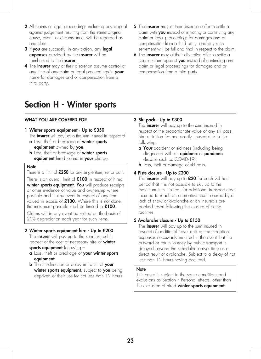- 2 All claims or legal proceedings including any appeal against judgement resulting from the same original cause, event, or circumstance, will be regarded as one claim.
- 3 If you are successful in any action, any legal expenses provided by the insurer will be reimbursed to the **insurer**.
- 4 The *insurer* may at their discretion assume control at any time of any claim or legal proceedings in **your** name for damages and or compensation from a third party.
- Section H Winter sports

#### WHAT YOU ARE COVERED FOR

#### 1 Winter sports equipment - Up to £350

The **insurer** will pay up to the sum insured in respect of:

- a Loss, theft or breakage of winter sports equipment owned by you.
- **b** Loss, theft or breakage of **winter sports** equipment hired to and in your charge.

#### **Note**

There is a limit of £250 for any single item, set or pair.

There is an overall limit of £100 in respect of hired winter sports equipment. You will produce receipts or other evidence of value and ownership where possible and in any event in respect of any item valued in excess of  $£100$ . Where this is not done, the maximum payable shall be limited to  $£100$ .

Claims will in any event be settled on the basis of 20% depreciation each year for such items.

#### 2 Winter sports equipment hire - Up to £200

The **insurer** will pay up to the sum insured in respect of the cost of necessary hire of winter sports equipment following:-

- a Loss, theft or breakage of your winter sports equipment.
- **b** The misdirection or delay in transit of your winter sports equipment, subject to you being deprived of their use for not less than 12 hours.
- 5 The insurer may at their discretion offer to settle a claim with **you** instead of initiating or continuing any claim or legal proceedings for damages and or compensation from a third party, and any such settlement will be full and final in respect to the claim.
- 6 The insurer may at their discretion offer to settle a counter-claim against you instead of continuing any claim or legal proceedings for damages and or compensation from a third party.

#### 3 Ski pack - Up to £300

The **insurer** will pay up to the sum insured in respect of the proportionate value of any ski pass, hire or tuition fee necessarily unused due to the following:

- **a Your** accident or sickness (including being diagnosed with an **epidemic** or **pandemic** disease such as COVID-19);
- **b** Loss, theft or damage of ski pass.

#### 4 Piste closure - Up to £200

The **insurer** will pay up to £20 for each 24 hour period that it is not possible to ski, up to the maximum sum insured, for additional transport costs incurred to reach an alternative resort caused by a lack of snow or avalanche at an Insured's prebooked resort following the closure of skiing facilities.

#### 5 Avalanche closure - Up to £150

The **insurer** will pay up to the sum insured in respect of additional travel and accommodation expenses necessarily incurred in the event that the outward or return journey by public transport is delayed beyond the scheduled arrival time as a direct result of avalanche. Subject to a delay of not less than 12 hours having occurred.

#### **Note**

This cover is subject to the same conditions and exclusions as Section F Personal effects, other than the exclusion of hired winter sports equipment.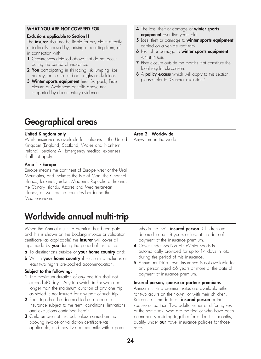#### WHAT YOU ARE NOT COVERED FOR

#### Exclusions applicable to Section H

The **insurer** shall not be liable for any claim directly or indirectly caused by, arising or resulting from, or in connection with:

- 1 Occurrences detailed above that do not occur during the period of insurance.
- 2 You participating in ski-racing, ski-jumping, ice hockey, or the use of bob sleighs or skeletons.
- 3 Winter sports equipment hire, Ski pack, Piste closure or Avalanche benefits above not supported by documentary evidence.
- 4 The loss, theft or damage of winter sports equipment over five years old.
- 5 Loss, theft or damage to winter sports equipment carried on a vehicle roof rack.
- **6** Loss of or damage to winter sports equipment whilst in use.
- 7 Piste closure outside the months that constitute the local regular ski season.
- 8 A **policy excess** which will apply to this section, please refer to 'General exclusions'.

# Geographical areas

#### United Kingdom only

Whilst insurance is available for holidays in the United Kingdom (England, Scotland, Wales and Northern Ireland), Sections A - Emergency medical expenses shall not apply.

#### Area 1 - Europe

Europe means the continent of Europe west of the Ural Mountains, and includes the Isle of Man, the Channel Islands, Iceland, Jordan, Madeira, Republic of Ireland, the Canary Islands, Azores and Mediterranean Islands, as well as the countries bordering the Mediterranean.

# Worldwide annual multi-trip

When the Annual multi-trip premium has been paid and this is shown on the booking invoice or validation certificate (as applicable) the **insurer** will cover all trips made by you during the period of insurance:

- **a** To destinations outside of your home country and:
- **b** Within your home country if such a trip includes at least two nights pre-booked accommodation.

#### Subject to the following:

- 1 The maximum duration of any one trip shall not exceed 40 days. Any trip which in known to be longer than the maximum duration of any one trip as stated is not insured for any part of such trip.
- 2 Each trip shall be deemed to be a separate insurance subject to the term, conditions, limitations and exclusions contained herein.
- 3 Children are not insured, unless named on the booking invoice or validation certificate (as applicable) and they live permanently with a parent

Area 2 - Worldwide Anywhere in the world.

> who is the main *insured person*. Children are deemed to be 18 years or less at the date of payment of the insurance premium.

- 4 Cover under Section H Winter sports is automatically provided for up to 14 days in total during the period of this insurance.
- 5 Annual multi-trip travel Insurance is not available for any person aged 66 years or more at the date of payment of insurance premium.

#### Insured person, spouse or partner premiums

Annual multi-trip premium rates are available either for two adults on their own, or with their children. Reference is made to an *insured person* or their spouse or partner. Two adults, either of differing sex or the same sex, who are married or who have been permanently residing together for at least six months, qualify under **our** travel insurance policies for those rates.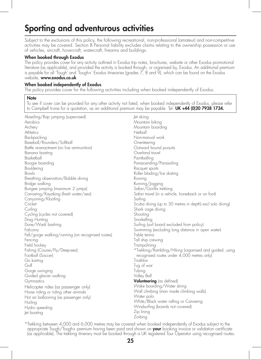## Sporting and adventurous activities

Subject to the exclusions of this policy, the following recreational, non-professional (amateur) and non-competitive activities may be covered. Section B Personal liability excludes claims relating to the ownership possession or use of vehicles, aircraft, hovercraft, watercraft, firearms and buildings.

#### When booked through Exodus

The policy provides cover for any activity outlined in Exodus trip notes, brochures, website or other Exodus promotional literature (as applicable), and provided the activity is booked through, or organised by, Exodus. An additional premium is payable for all 'Tough' and 'Tough+' Exodus itineraries (grades 7, 8 and 9), which can be found on the Exodus website, www.exodus.co.uk

#### When booked independently of Exodus

The policy provides cover for the following activities including when booked independently of Exodus.

#### **Note**

To see if cover can be provided for any other activity not listed, when booked independently of Exodus, please refer to Campbell Irvine for a quotation, as an additional premium may be payable. Tel: UK +44 (0)20 7938 1734.

| Abseiling/Rap jumping (supervised)                | Jet skiing                                                |
|---------------------------------------------------|-----------------------------------------------------------|
| Aerobics                                          | Mountain biking                                           |
| Archery                                           | Mountain boarding                                         |
| Athletics                                         | Netball                                                   |
| Backpacking                                       | Non-manual work                                           |
| Baseball/Rounders/Softball                        | Orienteering                                              |
| Battle re-enactment (no live ammunition)          | Outward bound pursuits                                    |
| Banana boating                                    | Overland travel                                           |
| Basketball                                        | Paintballing                                              |
| Boogie boarding                                   | Parascending/Parasailing                                  |
| Bouldering                                        | Racquet sports                                            |
| Bowls                                             | Roller blading/Ice skating                                |
| Breathing observation/Bubble diving               | Rowing                                                    |
| Bridge walking                                    | Running/Jogging                                           |
| Bungee jumping (maximum 2 jumps)                  | Safari/Gorilla trekking                                   |
| Canoeing/Kayaking (fresh water/sea)               | Safari travel (in a vehicle, horseback or on foot)        |
| Canyoning/Kloofing                                | Sailing                                                   |
| Cricket                                           | Scuba diving (up to 30 metres in depth) excl solo diving) |
| Curling                                           | Shark cage diving                                         |
| Cycling (cycles not covered)                      | Shooting                                                  |
| Drag Hunting                                      | Snorkelling                                               |
| Dune/Wadi bashing                                 | Surfing (surf board excluded from policy)                 |
| Falconry                                          | Swimming (excluding long distance in open water)          |
| Fell/gorge walking/running (on recognised routes) | Table tennis                                              |
| Fencing                                           | Tall ship crewing                                         |
| Field hockey                                      | Trampolining                                              |
| Fishing (Course/Fly/Deep-sea)                     | *Trekking/Rambling/Hiking (organised and guided, using    |
| Football (Soccer)                                 | recognised routes under 4,000 metres only)                |
| Go karting                                        | Triathlon                                                 |
| Golf                                              | Tug of war                                                |
| Gorge swinging                                    | Tubing                                                    |
| Guided glacier walking                            | Volley Ball                                               |
| Gymnastics                                        | <b>Volunteering</b> (as defined)                          |
| Helicopter rides (as passenger only)              | Wake boarding/Water skiing                                |
| Horse riding or riding other animals              | Wall climbing (man made climbing walls)                   |
| Hot air ballooning (as passenger only)            | Water polo                                                |
| Hurling                                           | White/Black water rafting or Canoeing                     |
| Hydro speeding                                    | Windsurfing (boards not covered)                          |
| Jet boating                                       | Zip lining                                                |
|                                                   | Zorbing                                                   |

\*Trekking between 4,000 and 6,000 metres may be covered when booked independently of Exodus subject to the appropriate Tough/Tough+ premium having been paid and shown on your booking invoice or validation certificate (as applicable). The trekking itinerary must be booked through a UK registered Tour Operator using recognised routes.